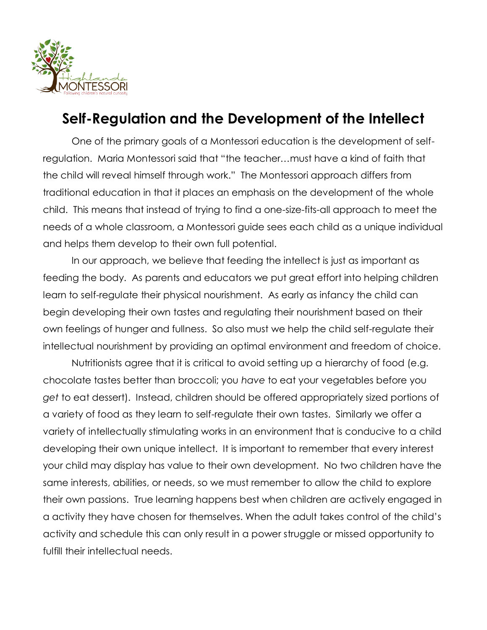

## **Self-Regulation and the Development of the Intellect**

One of the primary goals of a Montessori education is the development of selfregulation. Maria Montessori said that "the teacher…must have a kind of faith that the child will reveal himself through work." The Montessori approach differs from traditional education in that it places an emphasis on the development of the whole child. This means that instead of trying to find a one-size-fits-all approach to meet the needs of a whole classroom, a Montessori guide sees each child as a unique individual and helps them develop to their own full potential.

In our approach, we believe that feeding the intellect is just as important as feeding the body. As parents and educators we put great effort into helping children learn to self-regulate their physical nourishment. As early as infancy the child can begin developing their own tastes and regulating their nourishment based on their own feelings of hunger and fullness. So also must we help the child self-regulate their intellectual nourishment by providing an optimal environment and freedom of choice.

Nutritionists agree that it is critical to avoid setting up a hierarchy of food (e.g. chocolate tastes better than broccoli; you *have* to eat your vegetables before you *get* to eat dessert). Instead, children should be offered appropriately sized portions of a variety of food as they learn to self-regulate their own tastes. Similarly we offer a variety of intellectually stimulating works in an environment that is conducive to a child developing their own unique intellect. It is important to remember that every interest your child may display has value to their own development. No two children have the same interests, abilities, or needs, so we must remember to allow the child to explore their own passions. True learning happens best when children are actively engaged in a activity they have chosen for themselves. When the adult takes control of the child's activity and schedule this can only result in a power struggle or missed opportunity to fulfill their intellectual needs.